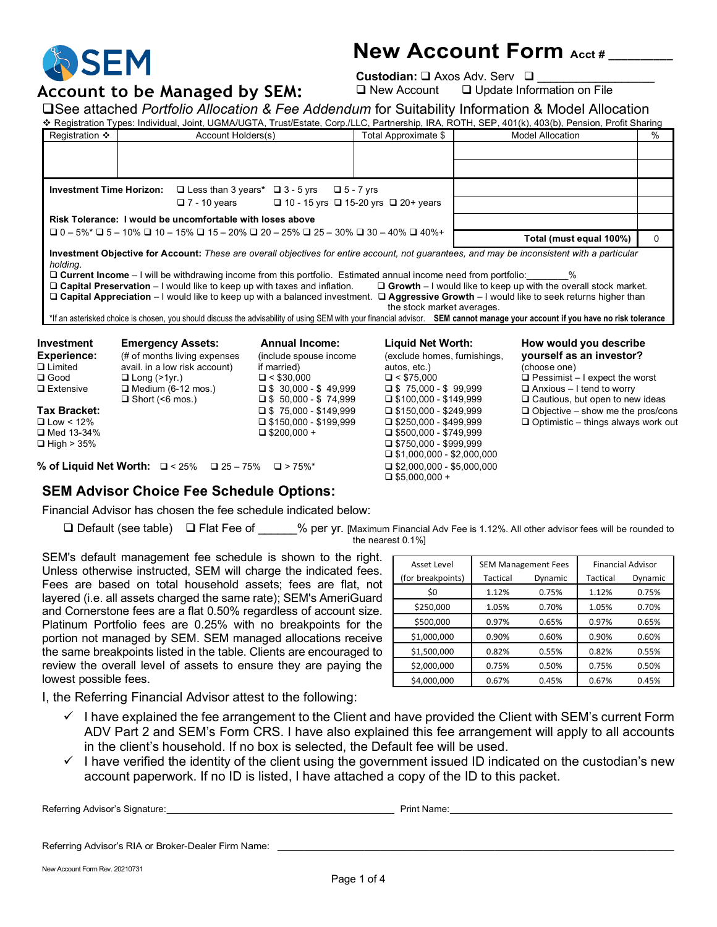

# **New Account Form Acct # \_\_\_\_\_\_\_\_\_\_**

**Custodian:**  $\square$  Axos Adv. Serv  $\square$ 

**Account to be Managed by SEM:** De New Account Dupdate Information on File<br>
Recentive based *Portfolio Allegation* 8 Fee Addendum for Suitability Information 8 Madel Alleg

|  |  |  | □See attached Portfolio Allocation & Fee Addendum for Suitability Information & Model Allocation                                                  |  |
|--|--|--|---------------------------------------------------------------------------------------------------------------------------------------------------|--|
|  |  |  | * Registration Types: Individual, Joint, UGMA/UGTA, Trust/Estate, Corp./LLC, Partnership, IRA, ROTH, SEP, 401(k), 403(b), Pension, Profit Sharing |  |

| Registration ❖                                                                                 |                                                                                                                                                                                                      | Account Holders(s)                                                                                                                                  |                                                                                                                                                      | <b>Model Allocation</b>                                                                                                                                                                                                                                                                                                                                                                                       | %        |
|------------------------------------------------------------------------------------------------|------------------------------------------------------------------------------------------------------------------------------------------------------------------------------------------------------|-----------------------------------------------------------------------------------------------------------------------------------------------------|------------------------------------------------------------------------------------------------------------------------------------------------------|---------------------------------------------------------------------------------------------------------------------------------------------------------------------------------------------------------------------------------------------------------------------------------------------------------------------------------------------------------------------------------------------------------------|----------|
|                                                                                                |                                                                                                                                                                                                      |                                                                                                                                                     |                                                                                                                                                      |                                                                                                                                                                                                                                                                                                                                                                                                               |          |
| <b>Investment Time Horizon:</b>                                                                | $\Box$ Less than 3 years $\Box$ 3 - 5 yrs<br>$\square$ 7 - 10 years                                                                                                                                  | $\Box$ 5 - 7 yrs<br>$\Box$ 10 - 15 yrs $\Box$ 15-20 yrs $\Box$ 20+ years                                                                            |                                                                                                                                                      |                                                                                                                                                                                                                                                                                                                                                                                                               |          |
|                                                                                                | Risk Tolerance: I would be uncomfortable with loses above                                                                                                                                            |                                                                                                                                                     |                                                                                                                                                      |                                                                                                                                                                                                                                                                                                                                                                                                               |          |
|                                                                                                | $\Box$ 0 - 5%* $\Box$ 5 - 10% $\Box$ 10 - 15% $\Box$ 15 - 20% $\Box$ 20 - 25% $\Box$ 25 - 30% $\Box$ 30 - 40% $\Box$ 40%+                                                                            |                                                                                                                                                     |                                                                                                                                                      | Total (must equal 100%)                                                                                                                                                                                                                                                                                                                                                                                       | $\Omega$ |
| holding.                                                                                       | □ Current Income – I will be withdrawing income from this portfolio. Estimated annual income need from portfolio:<br>$\Box$ Capital Preservation – I would like to keep up with taxes and inflation. |                                                                                                                                                     | the stock market averages.                                                                                                                           | %<br>$\Box$ Growth $-1$ would like to keep up with the overall stock market.<br>□ Capital Appreciation – I would like to keep up with a balanced investment. □ Aggressive Growth – I would like to seek returns higher than<br>*If an asterisked choice is chosen, you should discuss the advisability of using SEM with your financial advisor. SEM cannot manage your account if you have no risk tolerance |          |
| Investment<br><b>Experience:</b><br>$\square$ Limited<br>$\square$ Good<br>$\square$ Extensive | <b>Emergency Assets:</b><br>(# of months living expenses<br>avail. in a low risk account)<br>$\Box$ Long (>1yr.)<br>$\Box$ Medium (6-12 mos.)<br>$\Box$ Short (<6 mos.)                              | <b>Annual Income:</b><br>(include spouse income<br>if married)<br>$\Box$ < \$30,000<br>$\Box$ \$ 30,000 - \$ 49,999<br>$\Box$ \$ 50,000 - \$ 74,999 | Liquid Net Worth:<br>(exclude homes, furnishings,<br>autos, etc.)<br>$\Box$ < \$75,000<br>$\Box$ \$75,000 - \$99,999<br>$\Box$ \$100,000 - \$149,999 | How would you describe<br>yourself as an investor?<br>(choose one)<br>$\Box$ Pessimist – I expect the worst<br>$\Box$ Anxious – I tend to worry<br>$\Box$ Cautious, but open to new ideas                                                                                                                                                                                                                     |          |
| _ _                                                                                            |                                                                                                                                                                                                      |                                                                                                                                                     |                                                                                                                                                      |                                                                                                                                                                                                                                                                                                                                                                                                               |          |

**Tax Bracket:** \$ 75,000 - \$149,999 \$150,000 - \$249,999 Objective – show me the pros/cons Low < 12% \$150,000 - \$199,999 \$250,000 - \$499,999 Optimistic – things always work out Med 13-34% \$200,000 + \$500,000 - \$749,999

 $\Box$  \$750,000 - \$999,999  $\Box$  \$1,000,000 - \$2,000,000  $\Box$  \$5,000,000 +

**% of Liquid Net Worth:** □ < 25% □ 25 – 75% □ > 75%\* □ \$2,000,000 - \$5,000,000

# **SEM Advisor Choice Fee Schedule Options:**

Financial Advisor has chosen the fee schedule indicated below:

□ Default (see table) □ Flat Fee of % per yr. [Maximum Financial Adv Fee is 1.12%. All other advisor fees will be rounded to the nearest 0.1%]

SEM's default management fee schedule is shown to the right. Unless otherwise instructed, SEM will charge the indicated fees. Fees are based on total household assets; fees are flat, not layered (i.e. all assets charged the same rate); SEM's AmeriGuard and Cornerstone fees are a flat 0.50% regardless of account size. Platinum Portfolio fees are 0.25% with no breakpoints for the portion not managed by SEM. SEM managed allocations receive the same breakpoints listed in the table. Clients are encouraged to review the overall level of assets to ensure they are paying the lowest possible fees.

| <b>Asset Level</b> |          | <b>SEM Management Fees</b> | <b>Financial Advisor</b> |         |
|--------------------|----------|----------------------------|--------------------------|---------|
| (for breakpoints)  | Tactical | Dynamic                    | Tactical                 | Dynamic |
| \$0                | 1.12%    | 0.75%                      | 1.12%                    | 0.75%   |
| \$250,000          | 1.05%    | 0.70%                      | 1.05%                    | 0.70%   |
| \$500,000          | 0.97%    | 0.65%                      | 0.97%                    | 0.65%   |
| \$1,000,000        | 0.90%    | 0.60%                      | 0.90%                    | 0.60%   |
| \$1,500,000        | 0.82%    | 0.55%                      | 0.82%                    | 0.55%   |
| \$2,000,000        | 0.75%    | 0.50%                      | 0.75%                    | 0.50%   |
| \$4,000,000        | 0.67%    | 0.45%                      | 0.67%                    | 0.45%   |

I, the Referring Financial Advisor attest to the following:

- $\checkmark$  I have explained the fee arrangement to the Client and have provided the Client with SEM's current Form ADV Part 2 and SEM's Form CRS. I have also explained this fee arrangement will apply to all accounts in the client's household. If no box is selected, the Default fee will be used.
- $\checkmark$  I have verified the identity of the client using the government issued ID indicated on the custodian's new account paperwork. If no ID is listed, I have attached a copy of the ID to this packet.

Referring Advisor's Signature: etc. All and the state of the state of the state of the state of the state of the state of the state of the state of the state of the state of the state of the state of the state of the state

Referring Advisor's RIA or Broker-Dealer Firm Name:

New Account Form Rev. 20210731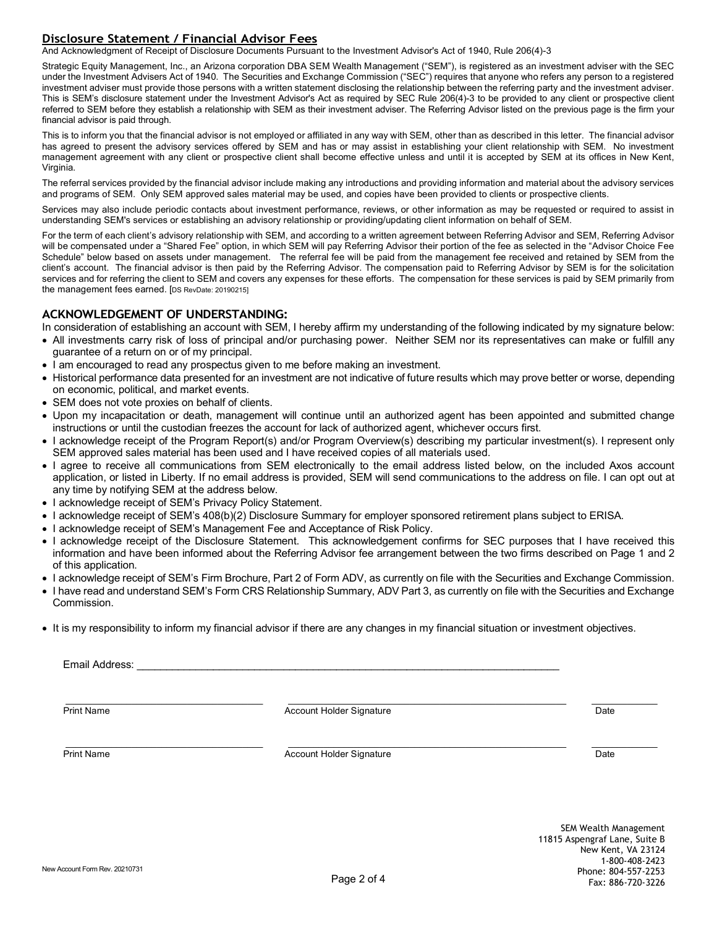# **Disclosure Statement / Financial Advisor Fees**

And Acknowledgment of Receipt of Disclosure Documents Pursuant to the Investment Advisor's Act of 1940, Rule 206(4)-3

Strategic Equity Management, Inc., an Arizona corporation DBA SEM Wealth Management ("SEM"), is registered as an investment adviser with the SEC under the Investment Advisers Act of 1940. The Securities and Exchange Commission ("SEC") requires that anyone who refers any person to a registered investment adviser must provide those persons with a written statement disclosing the relationship between the referring party and the investment adviser. This is SEM's disclosure statement under the Investment Advisor's Act as required by SEC Rule 206(4)-3 to be provided to any client or prospective client referred to SEM before they establish a relationship with SEM as their investment adviser. The Referring Advisor listed on the previous page is the firm your financial advisor is paid through.

This is to inform you that the financial advisor is not employed or affiliated in any way with SEM, other than as described in this letter. The financial advisor has agreed to present the advisory services offered by SEM and has or may assist in establishing your client relationship with SEM. No investment management agreement with any client or prospective client shall become effective unless and until it is accepted by SEM at its offices in New Kent, Virginia.

The referral services provided by the financial advisor include making any introductions and providing information and material about the advisory services and programs of SEM. Only SEM approved sales material may be used, and copies have been provided to clients or prospective clients.

Services may also include periodic contacts about investment performance, reviews, or other information as may be requested or required to assist in understanding SEM's services or establishing an advisory relationship or providing/updating client information on behalf of SEM.

For the term of each client's advisory relationship with SEM, and according to a written agreement between Referring Advisor and SEM, Referring Advisor will be compensated under a "Shared Fee" option, in which SEM will pay Referring Advisor their portion of the fee as selected in the "Advisor Choice Fee Schedule" below based on assets under management. The referral fee will be paid from the management fee received and retained by SEM from the client's account. The financial advisor is then paid by the Referring Advisor. The compensation paid to Referring Advisor by SEM is for the solicitation services and for referring the client to SEM and covers any expenses for these efforts. The compensation for these services is paid by SEM primarily from the management fees earned. [DS RevDate: 20190215]

### **ACKNOWLEDGEMENT OF UNDERSTANDING:**

In consideration of establishing an account with SEM, I hereby affirm my understanding of the following indicated by my signature below:

- All investments carry risk of loss of principal and/or purchasing power. Neither SEM nor its representatives can make or fulfill any guarantee of a return on or of my principal.
- I am encouraged to read any prospectus given to me before making an investment.
- Historical performance data presented for an investment are not indicative of future results which may prove better or worse, depending on economic, political, and market events.
- SEM does not vote proxies on behalf of clients.
- Upon my incapacitation or death, management will continue until an authorized agent has been appointed and submitted change instructions or until the custodian freezes the account for lack of authorized agent, whichever occurs first.
- I acknowledge receipt of the Program Report(s) and/or Program Overview(s) describing my particular investment(s). I represent only SEM approved sales material has been used and I have received copies of all materials used.
- I agree to receive all communications from SEM electronically to the email address listed below, on the included Axos account application, or listed in Liberty. If no email address is provided, SEM will send communications to the address on file. I can opt out at any time by notifying SEM at the address below.
- I acknowledge receipt of SEM's Privacy Policy Statement.
- I acknowledge receipt of SEM's 408(b)(2) Disclosure Summary for employer sponsored retirement plans subject to ERISA.
- I acknowledge receipt of SEM's Management Fee and Acceptance of Risk Policy.
- I acknowledge receipt of the Disclosure Statement. This acknowledgement confirms for SEC purposes that I have received this information and have been informed about the Referring Advisor fee arrangement between the two firms described on Page 1 and 2 of this application.
- I acknowledge receipt of SEM's Firm Brochure, Part 2 of Form ADV, as currently on file with the Securities and Exchange Commission.
- I have read and understand SEM's Form CRS Relationship Summary, ADV Part 3, as currently on file with the Securities and Exchange Commission.
- It is my responsibility to inform my financial advisor if there are any changes in my financial situation or investment objectives.

Email Address:

 $\_$  , and the state of the state of the state of the state of the state of the state of the state of the state of the state of the state of the state of the state of the state of the state of the state of the state of the Print Name **Contract Contract Account Holder Signature** Contract Contract Contract Contract Date

 $\_$  , and the state of the state of the state of the state of the state of the state of the state of the state of the state of the state of the state of the state of the state of the state of the state of the state of the Print Name Date Name Account Holder Signature Controller Account Holder Signature Date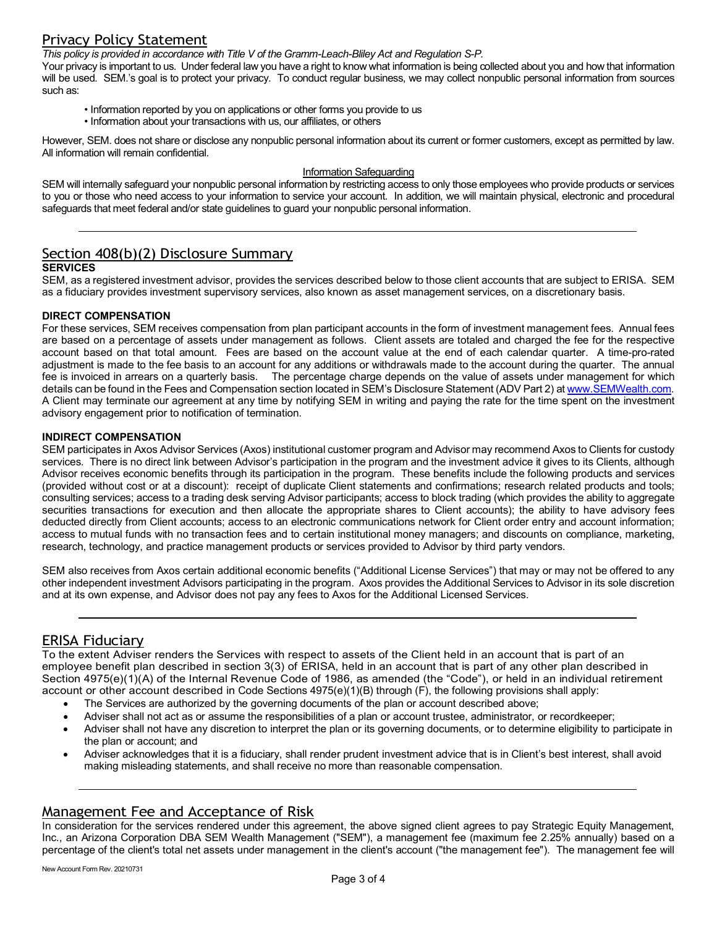# Privacy Policy Statement

*This policy is provided in accordance with Title V of the Gramm-Leach-Bliley Act and Regulation S-P.*

Your privacy is important to us. Under federal law you have a right to know what information is being collected about you and how that information will be used. SEM.'s goal is to protect your privacy. To conduct regular business, we may collect nonpublic personal information from sources such as:

- Information reported by you on applications or other forms you provide to us
- Information about your transactions with us, our affiliates, or others

However, SEM. does not share or disclose any nonpublic personal information about its current or former customers, except as permitted by law. All information will remain confidential.

#### Information Safeguarding

SEM will internally safeguard your nonpublic personal information by restricting access to only those employees who provide products or services to you or those who need access to your information to service your account. In addition, we will maintain physical, electronic and procedural safeguards that meet federal and/or state guidelines to guard your nonpublic personal information.

# Section 408(b)(2) Disclosure Summary

## **SERVICES**

SEM, as a registered investment advisor, provides the services described below to those client accounts that are subject to ERISA. SEM as a fiduciary provides investment supervisory services, also known as asset management services, on a discretionary basis.

#### **DIRECT COMPENSATION**

For these services, SEM receives compensation from plan participant accounts in the form of investment management fees. Annual fees are based on a percentage of assets under management as follows. Client assets are totaled and charged the fee for the respective account based on that total amount. Fees are based on the account value at the end of each calendar quarter. A time-pro-rated adjustment is made to the fee basis to an account for any additions or withdrawals made to the account during the quarter. The annual fee is invoiced in arrears on a quarterly basis. The percentage charge depends on the value of assets under management for which details can be found in the Fees and Compensation section located in SEM's Disclosure Statement (ADV Part 2) a[t www.SEMWealth.com.](http://www.stratequity.com/) A Client may terminate our agreement at any time by notifying SEM in writing and paying the rate for the time spent on the investment advisory engagement prior to notification of termination.

#### **INDIRECT COMPENSATION**

SEM participates in Axos Advisor Services (Axos) institutional customer program and Advisor may recommend Axos to Clients for custody services. There is no direct link between Advisor's participation in the program and the investment advice it gives to its Clients, although Advisor receives economic benefits through its participation in the program. These benefits include the following products and services (provided without cost or at a discount): receipt of duplicate Client statements and confirmations; research related products and tools; consulting services; access to a trading desk serving Advisor participants; access to block trading (which provides the ability to aggregate securities transactions for execution and then allocate the appropriate shares to Client accounts); the ability to have advisory fees deducted directly from Client accounts; access to an electronic communications network for Client order entry and account information; access to mutual funds with no transaction fees and to certain institutional money managers; and discounts on compliance, marketing, research, technology, and practice management products or services provided to Advisor by third party vendors.

SEM also receives from Axos certain additional economic benefits ("Additional License Services") that may or may not be offered to any other independent investment Advisors participating in the program. Axos provides the Additional Services to Advisor in its sole discretion and at its own expense, and Advisor does not pay any fees to Axos for the Additional Licensed Services.

## ERISA Fiduciary

To the extent Adviser renders the Services with respect to assets of the Client held in an account that is part of an employee benefit plan described in section 3(3) of ERISA, held in an account that is part of any other plan described in Section 4975(e)(1)(A) of the Internal Revenue Code of 1986, as amended (the "Code"), or held in an individual retirement account or other account described in Code Sections 4975(e)(1)(B) through (F), the following provisions shall apply:

- The Services are authorized by the governing documents of the plan or account described above;
- Adviser shall not act as or assume the responsibilities of a plan or account trustee, administrator, or recordkeeper;
- Adviser shall not have any discretion to interpret the plan or its governing documents, or to determine eligibility to participate in the plan or account; and
- Adviser acknowledges that it is a fiduciary, shall render prudent investment advice that is in Client's best interest, shall avoid making misleading statements, and shall receive no more than reasonable compensation.

## Management Fee and Acceptance of Risk

In consideration for the services rendered under this agreement, the above signed client agrees to pay Strategic Equity Management, Inc., an Arizona Corporation DBA SEM Wealth Management ("SEM"), a management fee (maximum fee 2.25% annually) based on a percentage of the client's total net assets under management in the client's account ("the management fee"). The management fee will